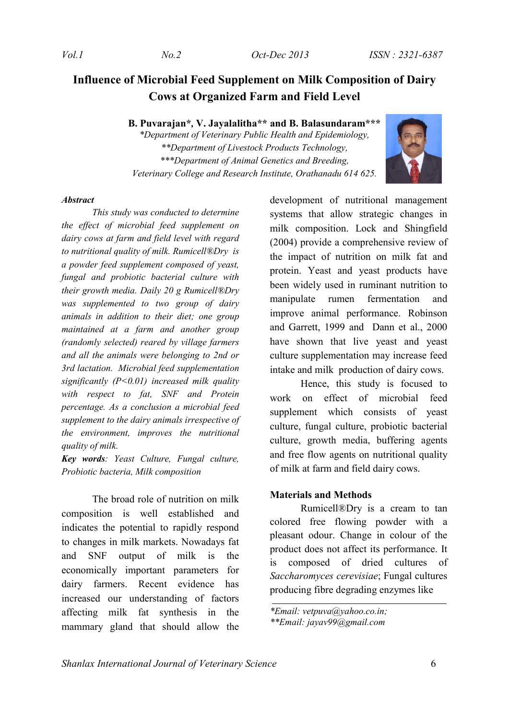# **Influence of Microbial Feed Supplement on Milk Composition of Dairy Cows at Organized Farm and Field Level**

**B. Puvarajan\****,* **V. Jayalalitha\*\* and B. Balasundaram\*\*\***

*\*Department of Veterinary Public Health and Epidemiology, \*\*Department of Livestock Products Technology, \*\*\*Department of Animal Genetics and Breeding, Veterinary College and Research Institute, Orathanadu 614 625.*



#### *Abstract*

*This study was conducted to determine the effect of microbial feed supplement on dairy cows at farm and field level with regard to nutritional quality of milk. Rumicell®Dry is a powder feed supplement composed of yeast, fungal and probiotic bacterial culture with their growth media. Daily 20 g Rumicell®Dry was supplemented to two group of dairy animals in addition to their diet; one group maintained at a farm and another group (randomly selected) reared by village farmers and all the animals were belonging to 2nd or 3rd lactation. Microbial feed supplementation significantly (P<0.01) increased milk quality with respect to fat, SNF and Protein percentage. As a conclusion a microbial feed supplement to the dairy animals irrespective of the environment, improves the nutritional quality of milk.* 

*Key words: Yeast Culture, Fungal culture, Probiotic bacteria, Milk composition*

The broad role of nutrition on milk composition is well established and indicates the potential to rapidly respond to changes in milk markets. Nowadays fat and SNF output of milk is the economically important parameters for dairy farmers. Recent evidence has increased our understanding of factors affecting milk fat synthesis in the mammary gland that should allow the development of nutritional management systems that allow strategic changes in milk composition. Lock and Shingfield (2004) provide a comprehensive review of the impact of nutrition on milk fat and protein. Yeast and yeast products have been widely used in ruminant nutrition to manipulate rumen fermentation and improve animal performance. Robinson and Garrett, 1999 and Dann et al., 2000 have shown that live yeast and yeast culture supplementation may increase feed intake and milk production of dairy cows.

Hence, this study is focused to work on effect of microbial feed supplement which consists of yeast culture, fungal culture, probiotic bacterial culture, growth media, buffering agents and free flow agents on nutritional quality of milk at farm and field dairy cows.

## **Materials and Methods**

Rumicell®Dry is a cream to tan colored free flowing powder with a pleasant odour. Change in colour of the product does not affect its performance. It is composed of dried cultures of *Saccharomyces cerevisiae*; Fungal cultures producing fibre degrading enzymes like

*<sup>\*</sup>Email: vetpuva@yahoo.co.in;* 

*<sup>\*\*</sup>Email: jayav99@gmail.com*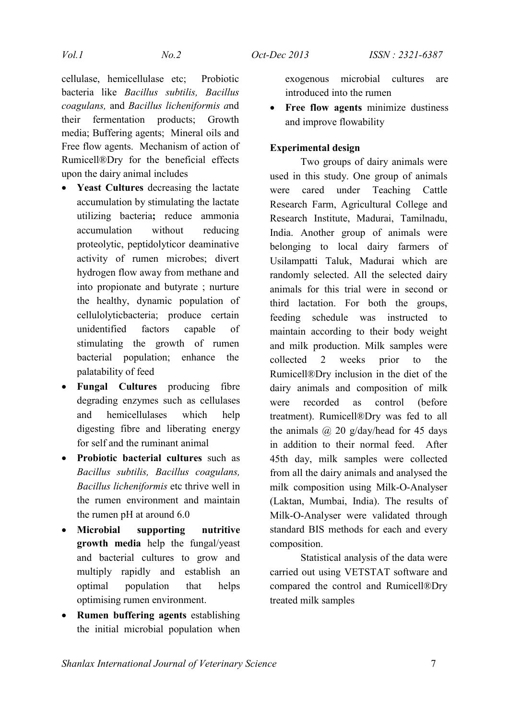cellulase, hemicellulase etc; Probiotic bacteria like *Bacillus subtilis, Bacillus coagulans,* and *Bacillus licheniformis a*nd their fermentation products; Growth media; Buffering agents; Mineral oils and Free flow agents. Mechanism of action of Rumicell®Dry for the beneficial effects upon the dairy animal includes

- **Yeast Cultures** decreasing the lactate accumulation by stimulating the lactate utilizing bacteria**;** reduce ammonia accumulation without reducing proteolytic, peptidolyticor deaminative activity of rumen microbes; divert hydrogen flow away from methane and into propionate and butyrate ; nurture the healthy, dynamic population of cellulolyticbacteria; produce certain unidentified factors capable of stimulating the growth of rumen bacterial population; enhance the palatability of feed
- **Fungal Cultures** producing fibre degrading enzymes such as cellulases and hemicellulases which help digesting fibre and liberating energy for self and the ruminant animal
- **Probiotic bacterial cultures** such as *Bacillus subtilis, Bacillus coagulans, Bacillus licheniformis* etc thrive well in the rumen environment and maintain the rumen pH at around 6.0
- **Microbial supporting nutritive growth media** help the fungal/yeast and bacterial cultures to grow and multiply rapidly and establish an optimal population that helps optimising rumen environment.
- **Rumen buffering agents** establishing the initial microbial population when

exogenous microbial cultures are introduced into the rumen

 **Free flow agents** minimize dustiness and improve flowability

# **Experimental design**

Two groups of dairy animals were used in this study. One group of animals were cared under Teaching Cattle Research Farm, Agricultural College and Research Institute, Madurai, Tamilnadu, India. Another group of animals were belonging to local dairy farmers of Usilampatti Taluk, Madurai which are randomly selected. All the selected dairy animals for this trial were in second or third lactation. For both the groups, feeding schedule was instructed to maintain according to their body weight and milk production. Milk samples were collected 2 weeks prior to the Rumicell®Dry inclusion in the diet of the dairy animals and composition of milk were recorded as control (before treatment). Rumicell®Dry was fed to all the animals  $\omega$  20 g/day/head for 45 days in addition to their normal feed. After 45th day, milk samples were collected from all the dairy animals and analysed the milk composition using Milk-O-Analyser (Laktan, Mumbai, India). The results of Milk-O-Analyser were validated through standard BIS methods for each and every composition.

Statistical analysis of the data were carried out using VETSTAT software and compared the control and Rumicell®Dry treated milk samples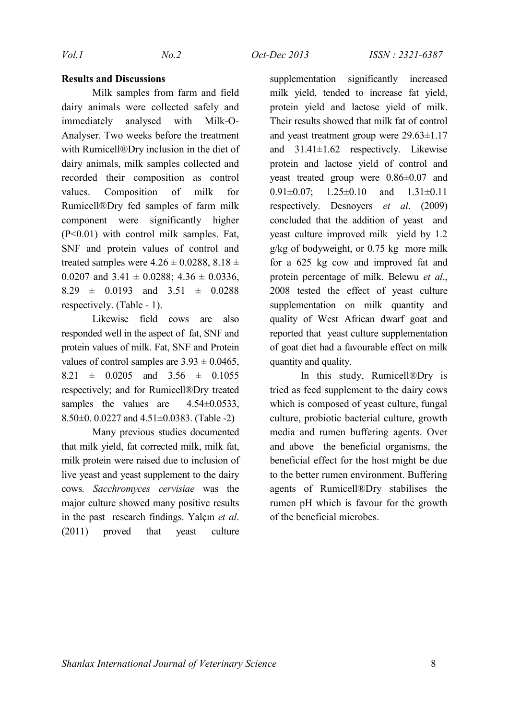# **Results and Discussions**

Milk samples from farm and field dairy animals were collected safely and immediately analysed with Milk-O-Analyser. Two weeks before the treatment with Rumicell®Dry inclusion in the diet of dairy animals, milk samples collected and recorded their composition as control values. Composition of milk for Rumicell®Dry fed samples of farm milk component were significantly higher (P<0.01) with control milk samples. Fat, SNF and protein values of control and treated samples were  $4.26 \pm 0.0288$ ,  $8.18 \pm$ 0.0207 and  $3.41 \pm 0.0288$ ;  $4.36 \pm 0.0336$ ,  $8.29 \pm 0.0193$  and  $3.51 \pm 0.0288$ respectively. (Table - 1).

Likewise field cows are also responded well in the aspect of fat, SNF and protein values of milk. Fat, SNF and Protein values of control samples are  $3.93 \pm 0.0465$ ,  $8.21 \pm 0.0205$  and  $3.56 \pm 0.1055$ respectively; and for Rumicell®Dry treated samples the values are  $4.54\pm0.0533$ , 8.50±0. 0.0227 and 4.51±0.0383. (Table -2)

Many previous studies documented that milk yield, fat corrected milk, milk fat, milk protein were raised due to inclusion of live yeast and yeast supplement to the dairy cows*. Sacchromyces cervisiae* was the major culture showed many positive results in the past research findings. Yalçın *et al*. (2011) proved that yeast culture

supplementation significantly increased milk yield, tended to increase fat yield, protein yield and lactose yield of milk. Their results showed that milk fat of control and yeast treatment group were 29.63±1.17 and 31.41±1.62 respectivcly. Likewise protein and lactose yield of control and yeast treated group were 0.86±0.07 and 0.91 $\pm$ 0.07; 1.25 $\pm$ 0.10 and 1.31 $\pm$ 0.11 respectively. Desnoyers *et al*. (2009) concluded that the addition of yeast and yeast culture improved milk yield by 1.2 g/kg of bodyweight, or 0.75 kg more milk for a 625 kg cow and improved fat and protein percentage of milk. Belewu *et al*., 2008 tested the effect of yeast culture supplementation on milk quantity and quality of West African dwarf goat and reported that yeast culture supplementation of goat diet had a favourable effect on milk quantity and quality.

In this study, Rumicell®Dry is tried as feed supplement to the dairy cows which is composed of yeast culture, fungal culture, probiotic bacterial culture, growth media and rumen buffering agents. Over and above the beneficial organisms, the beneficial effect for the host might be due to the better rumen environment. Buffering agents of Rumicell®Dry stabilises the rumen pH which is favour for the growth of the beneficial microbes.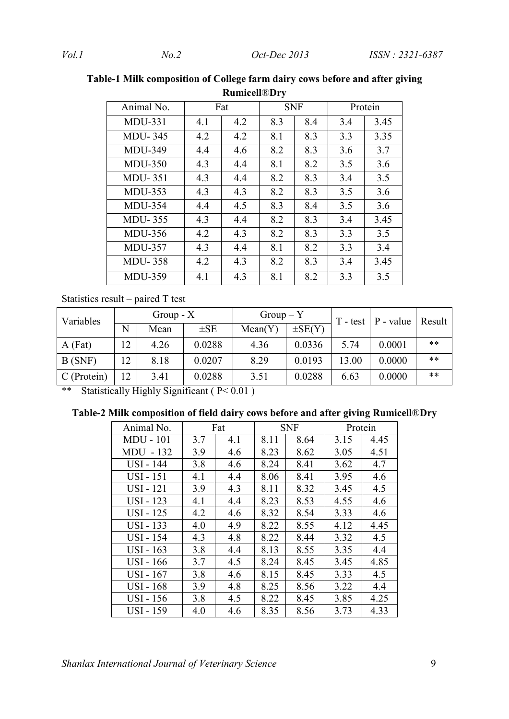| Animal No.     | Fat |     | <b>SNF</b> |     | Protein |      |  |  |
|----------------|-----|-----|------------|-----|---------|------|--|--|
| $MDU-331$      | 4.1 | 4.2 | 8.3        | 8.4 | 3.4     | 3.45 |  |  |
| <b>MDU-345</b> | 4.2 | 4.2 | 8.1        | 8.3 | 3.3     | 3.35 |  |  |
| <b>MDU-349</b> | 4.4 | 4.6 | 8.2        | 8.3 | 3.6     | 3.7  |  |  |
| <b>MDU-350</b> | 4.3 | 4.4 | 8.1        | 8.2 | 3.5     | 3.6  |  |  |
| <b>MDU-351</b> | 4.3 | 4.4 | 8.2        | 8.3 | 3.4     | 3.5  |  |  |
| <b>MDU-353</b> | 4.3 | 4.3 | 8.2        | 8.3 | 3.5     | 3.6  |  |  |
| <b>MDU-354</b> | 4.4 | 4.5 | 8.3        | 8.4 | 3.5     | 3.6  |  |  |
| <b>MDU-355</b> | 4.3 | 4.4 | 8.2        | 8.3 | 3.4     | 3.45 |  |  |
| <b>MDU-356</b> | 4.2 | 4.3 | 8.2        | 8.3 | 3.3     | 3.5  |  |  |
| <b>MDU-357</b> | 4.3 | 4.4 | 8.1        | 8.2 | 3.3     | 3.4  |  |  |
| <b>MDU-358</b> | 4.2 | 4.3 | 8.2        | 8.3 | 3.4     | 3.45 |  |  |
| <b>MDU-359</b> | 4.1 | 4.3 | 8.1        | 8.2 | 3.3     | 3.5  |  |  |

**Table-1 Milk composition of College farm dairy cows before and after giving Rumicell**®**Dry**

Statistics result – paired T test

| Variables   | Group $\mathbf{-} X$ |      |          | $Group - Y$ |             |       | $T - test$   P - value | Result |
|-------------|----------------------|------|----------|-------------|-------------|-------|------------------------|--------|
|             | N                    | Mean | $\pm$ SE | Mean(Y)     | $\pm$ SE(Y) |       |                        |        |
| $A$ (Fat)   | 12                   | 4.26 | 0.0288   | 4.36        | 0.0336      | 5.74  | 0.0001                 | $***$  |
| B(SNF)      | 12                   | 8.18 | 0.0207   | 8.29        | 0.0193      | 13.00 | 0.0000                 | $***$  |
| C (Protein) | 12                   | 3.41 | 0.0288   | 3.51        | 0.0288      | 6.63  | 0.0000                 | $***$  |

\*\* Statistically Highly Significant (P< 0.01)

|  |  | Table-2 Milk composition of field dairy cows before and after giving Rumicell®Dry |  |
|--|--|-----------------------------------------------------------------------------------|--|
|  |  |                                                                                   |  |

| Animal No.       | Fat |     |      | <b>SNF</b> | Protein |      |  |
|------------------|-----|-----|------|------------|---------|------|--|
| <b>MDU - 101</b> | 3.7 | 4.1 | 8.11 | 8.64       | 3.15    | 4.45 |  |
| $-132$<br>MDU -  | 3.9 | 4.6 | 8.23 | 8.62       | 3.05    | 4.51 |  |
| <b>USI - 144</b> | 3.8 | 4.6 | 8.24 | 8.41       | 3.62    | 4.7  |  |
| USI - 151        | 4.1 | 4.4 | 8.06 | 8.41       | 3.95    | 4.6  |  |
| <b>USI</b> - 121 | 3.9 | 4.3 | 8.11 | 8.32       | 3.45    | 4.5  |  |
| <b>USI - 123</b> | 4.1 | 4.4 | 8.23 | 8.53       | 4.55    | 4.6  |  |
| USI - 125        | 4.2 | 4.6 | 8.32 | 8.54       | 3.33    | 4.6  |  |
| USI - 133        | 4.0 | 4.9 | 8.22 | 8.55       | 4.12    | 4.45 |  |
| <b>USI - 154</b> | 4.3 | 4.8 | 8.22 | 8.44       | 3.32    | 4.5  |  |
| $USI - 163$      | 3.8 | 4.4 | 8.13 | 8.55       | 3.35    | 4.4  |  |
| USI - 166        | 3.7 | 4.5 | 8.24 | 8.45       | 3.45    | 4.85 |  |
| USI - 167        | 3.8 | 4.6 | 8.15 | 8.45       | 3.33    | 4.5  |  |
| <b>USI</b> - 168 | 3.9 | 4.8 | 8.25 | 8.56       | 3.22    | 4.4  |  |
| USI - 156        | 3.8 | 4.5 | 8.22 | 8.45       | 3.85    | 4.25 |  |
| <b>USI - 159</b> | 4.0 | 4.6 | 8.35 | 8.56       | 3.73    | 4.33 |  |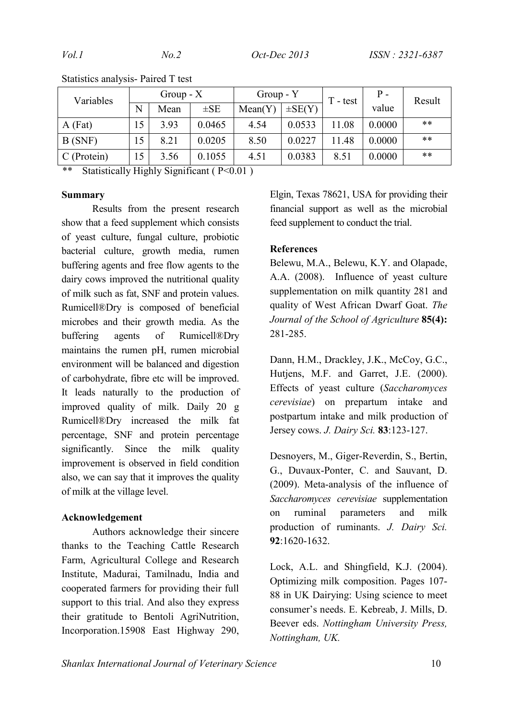| Variables   | Group $\mathbf - X$ |      | Group - Y |         | $T - test$  | Р.    | Result |       |
|-------------|---------------------|------|-----------|---------|-------------|-------|--------|-------|
|             | N                   | Mean | $\pm$ SE  | Mean(Y) | $\pm SE(Y)$ |       | value  |       |
| $A$ (Fat)   | 15                  | 3.93 | 0.0465    | 4.54    | 0.0533      | 11.08 | 0.0000 | $***$ |
| B(SNF)      | 15                  | 8.21 | 0.0205    | 8.50    | 0.0227      | 11.48 | 0.0000 | $***$ |
| C (Protein) | 15                  | 3.56 | 0.1055    | 4.51    | 0.0383      | 8.51  | 0.0000 | $**$  |
| $+ +$       |                     |      |           |         |             |       |        |       |

Statistics analysis- Paired T test

Statistically Highly Significant ( $P<0.01$ )

### **Summary**

Results from the present research show that a feed supplement which consists of yeast culture, fungal culture, probiotic bacterial culture, growth media, rumen buffering agents and free flow agents to the dairy cows improved the nutritional quality of milk such as fat, SNF and protein values. Rumicell®Dry is composed of beneficial microbes and their growth media. As the buffering agents of Rumicell®Dry maintains the rumen pH, rumen microbial environment will be balanced and digestion of carbohydrate, fibre etc will be improved. It leads naturally to the production of improved quality of milk. Daily 20 g Rumicell®Dry increased the milk fat percentage, SNF and protein percentage significantly. Since the milk quality improvement is observed in field condition also, we can say that it improves the quality of milk at the village level.

### **Acknowledgement**

Authors acknowledge their sincere thanks to the Teaching Cattle Research Farm, Agricultural College and Research Institute, Madurai, Tamilnadu, India and cooperated farmers for providing their full support to this trial. And also they express their gratitude to Bentoli AgriNutrition, Incorporation.15908 East Highway 290,

Elgin, Texas 78621, USA for providing their financial support as well as the microbial feed supplement to conduct the trial.

#### **References**

Belewu, M.A., Belewu, K.Y. and Olapade, A.A. (2008). Influence of yeast culture supplementation on milk quantity 281 and quality of West African Dwarf Goat. *The Journal of the School of Agriculture* **85(4):** 281-285.

Dann, H.M., Drackley, J.K., McCoy, G.C., Hutjens, M.F. and Garret, J.E. (2000). Effects of yeast culture (*Saccharomyces cerevisiae*) on prepartum intake and postpartum intake and milk production of Jersey cows. *J. Dairy Sci.* **83**:123-127.

Desnoyers, M., Giger-Reverdin, S., Bertin, G., Duvaux-Ponter, C. and Sauvant, D. (2009). Meta-analysis of the influence of *Saccharomyces cerevisiae* supplementation on ruminal parameters and milk production of ruminants. *J. Dairy Sci.* **92**:1620-1632.

Lock, A.L. and Shingfield, K.J. (2004). Optimizing milk composition. Pages 107- 88 in UK Dairying: Using science to meet consumer's needs. E. Kebreab, J. Mills, D. Beever eds. *Nottingham University Press, Nottingham, UK.*